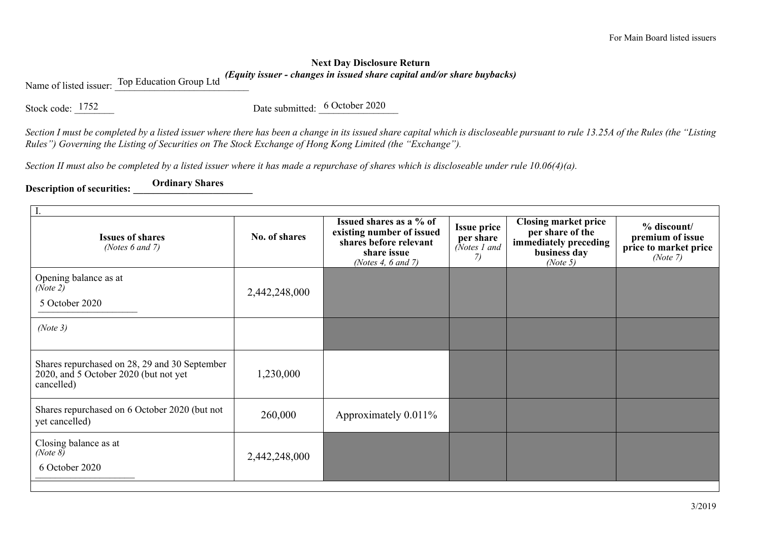## **Next Day Disclosure Return**  *(Equity issuer - changes in issued share capital and/or share buybacks)*

Name of listed issuer: Top Education Group Ltd

Stock code:  $\frac{1752}{2}$  Date submitted:  $\frac{6 \text{ October } 2020}{20}$ 

*Section I must be completed by a listed issuer where there has been a change in its issued share capital which is discloseable pursuant to rule 13.25A of the Rules (the "Listing Rules") Governing the Listing of Securities on The Stock Exchange of Hong Kong Limited (the "Exchange").*

*Section II must also be completed by a listed issuer where it has made a repurchase of shares which is discloseable under rule 10.06(4)(a).*

**Description of securities: \_\_\_\_\_\_\_\_\_\_\_\_\_\_\_\_\_\_\_\_\_\_\_\_ Ordinary Shares**

| I.                                                                                                   |               |                                                                                                                     |                                                       |                                                                                                      |                                                                      |  |  |  |
|------------------------------------------------------------------------------------------------------|---------------|---------------------------------------------------------------------------------------------------------------------|-------------------------------------------------------|------------------------------------------------------------------------------------------------------|----------------------------------------------------------------------|--|--|--|
| <b>Issues of shares</b><br>(Notes $6$ and $7$ )                                                      | No. of shares | Issued shares as a % of<br>existing number of issued<br>shares before relevant<br>share issue<br>(Notes 4, 6 and 7) | <b>Issue price</b><br>per share<br>(Notes 1 and<br>7) | <b>Closing market price</b><br>per share of the<br>immediately preceding<br>business day<br>(Note 5) | % discount/<br>premium of issue<br>price to market price<br>(Note 7) |  |  |  |
| Opening balance as at<br>(Note 2)<br>5 October 2020                                                  | 2,442,248,000 |                                                                                                                     |                                                       |                                                                                                      |                                                                      |  |  |  |
| (Note 3)                                                                                             |               |                                                                                                                     |                                                       |                                                                                                      |                                                                      |  |  |  |
| Shares repurchased on 28, 29 and 30 September<br>2020, and 5 October 2020 (but not yet<br>cancelled) | 1,230,000     |                                                                                                                     |                                                       |                                                                                                      |                                                                      |  |  |  |
| Shares repurchased on 6 October 2020 (but not<br>yet cancelled)                                      | 260,000       | Approximately 0.011%                                                                                                |                                                       |                                                                                                      |                                                                      |  |  |  |
| Closing balance as at<br>(Note $8)$<br>6 October 2020                                                | 2,442,248,000 |                                                                                                                     |                                                       |                                                                                                      |                                                                      |  |  |  |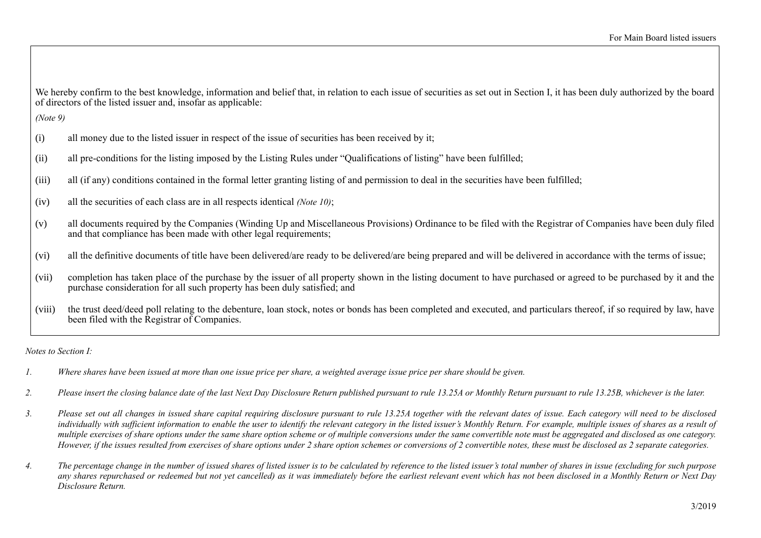We hereby confirm to the best knowledge, information and belief that, in relation to each issue of securities as set out in Section I, it has been duly authorized by the board of directors of the listed issuer and, insofar as applicable:

*(Note 9)*

- (i) all money due to the listed issuer in respect of the issue of securities has been received by it;
- (ii) all pre-conditions for the listing imposed by the Listing Rules under "Qualifications of listing" have been fulfilled;
- (iii) all (if any) conditions contained in the formal letter granting listing of and permission to deal in the securities have been fulfilled;
- (iv) all the securities of each class are in all respects identical *(Note 10)*;
- (v) all documents required by the Companies (Winding Up and Miscellaneous Provisions) Ordinance to be filed with the Registrar of Companies have been duly filed and that compliance has been made with other legal requirements;
- (vi) all the definitive documents of title have been delivered/are ready to be delivered/are being prepared and will be delivered in accordance with the terms of issue;
- (vii) completion has taken place of the purchase by the issuer of all property shown in the listing document to have purchased or agreed to be purchased by it and the purchase consideration for all such property has been duly satisfied; and
- (viii) the trust deed/deed poll relating to the debenture, loan stock, notes or bonds has been completed and executed, and particulars thereof, if so required by law, have been filed with the Registrar of Companies.

*Notes to Section I:*

- *1. Where shares have been issued at more than one issue price per share, a weighted average issue price per share should be given.*
- *2. Please insert the closing balance date of the last Next Day Disclosure Return published pursuant to rule 13.25A or Monthly Return pursuant to rule 13.25B, whichever is the later.*
- *3. Please set out all changes in issued share capital requiring disclosure pursuant to rule 13.25A together with the relevant dates of issue. Each category will need to be disclosed*  individually with sufficient information to enable the user to identify the relevant category in the listed issuer's Monthly Return. For example, multiple issues of shares as a result of *multiple exercises of share options under the same share option scheme or of multiple conversions under the same convertible note must be aggregated and disclosed as one category. However, if the issues resulted from exercises of share options under 2 share option schemes or conversions of 2 convertible notes, these must be disclosed as 2 separate categories.*
- *4. The percentage change in the number of issued shares of listed issuer is to be calculated by reference to the listed issuer's total number of shares in issue (excluding for such purpose any shares repurchased or redeemed but not yet cancelled) as it was immediately before the earliest relevant event which has not been disclosed in a Monthly Return or Next Day Disclosure Return.*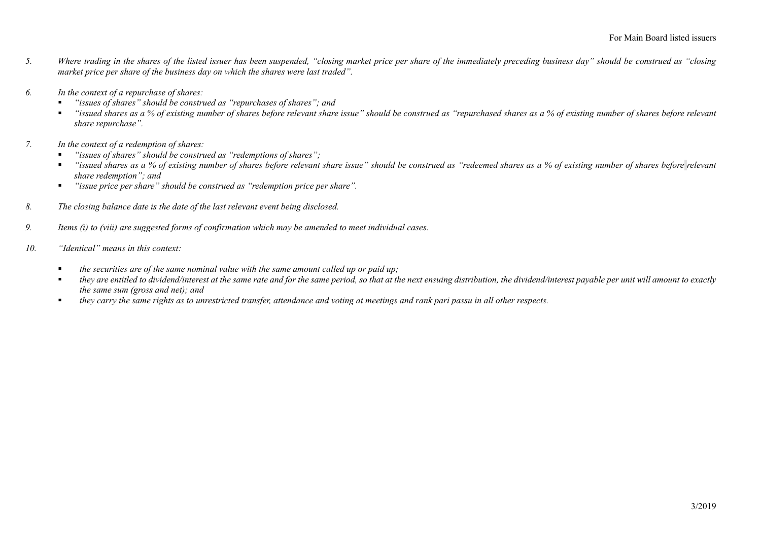- *5. Where trading in the shares of the listed issuer has been suspended, "closing market price per share of the immediately preceding business day" should be construed as "closing market price per share of the business day on which the shares were last traded".*
- *6. In the context of a repurchase of shares:*
	- *"issues of shares" should be construed as "repurchases of shares"; and*
	- *"issued shares as a % of existing number of shares before relevant share issue" should be construed as "repurchased shares as a % of existing number of shares before relevant share repurchase".*
- *7. In the context of a redemption of shares:*
	- *"issues of shares" should be construed as "redemptions of shares";*
	- *"issued shares as a % of existing number of shares before relevant share issue" should be construed as "redeemed shares as a % of existing number of shares before <i>relevant share redemption"; and*
	- *"issue price per share" should be construed as "redemption price per share".*
- *8. The closing balance date is the date of the last relevant event being disclosed.*
- *9. Items (i) to (viii) are suggested forms of confirmation which may be amended to meet individual cases.*
- *10. "Identical" means in this context:* 
	- *the securities are of the same nominal value with the same amount called up or paid up;*
	- they are entitled to dividend/interest at the same rate and for the same period, so that at the next ensuing distribution, the dividend/interest payable per unit will amount to exactly *the same sum (gross and net); and*
	- *they carry the same rights as to unrestricted transfer, attendance and voting at meetings and rank pari passu in all other respects.*